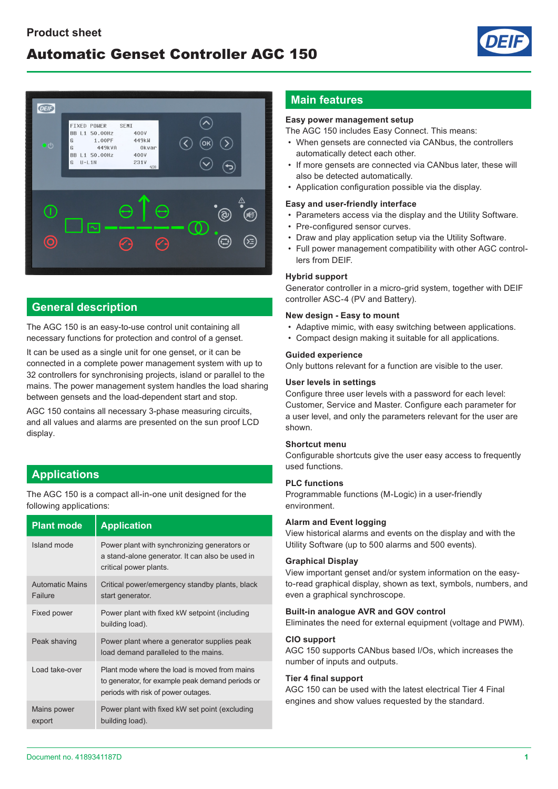### **Product sheet**

# Automatic Genset Controller AGC 150





### **General description**

The AGC 150 is an easy-to-use control unit containing all necessary functions for protection and control of a genset.

It can be used as a single unit for one genset, or it can be connected in a complete power management system with up to 32 controllers for synchronising projects, island or parallel to the mains. The power management system handles the load sharing between gensets and the load-dependent start and stop.

AGC 150 contains all necessary 3-phase measuring circuits, and all values and alarms are presented on the sun proof LCD display.

### **Applications**

The AGC 150 is a compact all-in-one unit designed for the following applications:

| <b>Plant mode</b>                 | <b>Application</b>                                                                                                                       |
|-----------------------------------|------------------------------------------------------------------------------------------------------------------------------------------|
| Island mode                       | Power plant with synchronizing generators or<br>a stand-alone generator. It can also be used in<br>critical power plants.                |
| <b>Automatic Mains</b><br>Failure | Critical power/emergency standby plants, black<br>start generator.                                                                       |
| Fixed power                       | Power plant with fixed kW setpoint (including<br>building load).                                                                         |
| Peak shaving                      | Power plant where a generator supplies peak<br>load demand paralleled to the mains.                                                      |
| Load take-over                    | Plant mode where the load is moved from mains<br>to generator, for example peak demand periods or<br>periods with risk of power outages. |
| Mains power<br>export             | Power plant with fixed kW set point (excluding<br>building load).                                                                        |

### **Main features**

#### **Easy power management setup**

The AGC 150 includes Easy Connect. This means:

- When gensets are connected via CANbus, the controllers automatically detect each other.
- If more gensets are connected via CANbus later, these will also be detected automatically.
- Application configuration possible via the display.

#### **Easy and user-friendly interface**

- Parameters access via the display and the Utility Software.
- Pre-configured sensor curves.
- Draw and play application setup via the Utility Software.
- Full power management compatibility with other AGC controllers from DEIF.

#### **Hybrid support**

Generator controller in a micro-grid system, together with DEIF controller ASC-4 (PV and Battery).

#### **New design - Easy to mount**

- Adaptive mimic, with easy switching between applications.
- Compact design making it suitable for all applications.

#### **Guided experience**

Only buttons relevant for a function are visible to the user.

#### **User levels in settings**

Configure three user levels with a password for each level: Customer, Service and Master. Configure each parameter for a user level, and only the parameters relevant for the user are shown.

#### **Shortcut menu**

Configurable shortcuts give the user easy access to frequently used functions.

#### **PLC functions**

Programmable functions (M-Logic) in a user-friendly environment.

#### **Alarm and Event logging**

View historical alarms and events on the display and with the Utility Software (up to 500 alarms and 500 events).

#### **Graphical Display**

View important genset and/or system information on the easyto-read graphical display, shown as text, symbols, numbers, and even a graphical synchroscope.

#### **Built-in analogue AVR and GOV control**

Eliminates the need for external equipment (voltage and PWM).

#### **CIO support**

AGC 150 supports CANbus based I/Os, which increases the number of inputs and outputs.

#### **Tier 4 final support**

AGC 150 can be used with the latest electrical Tier 4 Final engines and show values requested by the standard.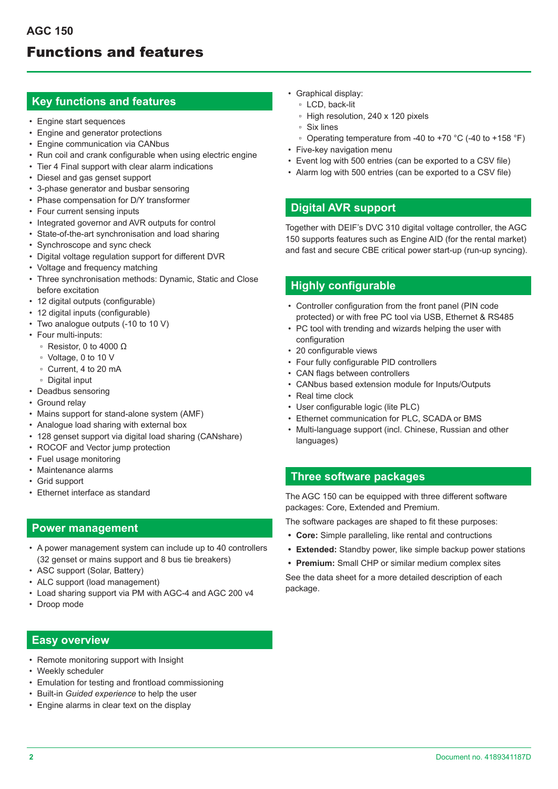# Functions and features

### **Key functions and features**

- Engine start sequences
- Engine and generator protections
- Engine communication via CANbus
- Run coil and crank configurable when using electric engine
- Tier 4 Final support with clear alarm indications
- Diesel and gas genset support
- 3-phase generator and busbar sensoring
- Phase compensation for D/Y transformer
- Four current sensing inputs
- Integrated governor and AVR outputs for control
- State-of-the-art synchronisation and load sharing
- Synchroscope and sync check
- Digital voltage regulation support for different DVR
- Voltage and frequency matching
- Three synchronisation methods: Dynamic, Static and Close before excitation
- 12 digital outputs (configurable)
- 12 digital inputs (configurable)
- Two analogue outputs (-10 to 10 V)
- Four multi-inputs:
	- Resistor, 0 to 4000 Ω
	- Voltage, 0 to 10 V
	- Current, 4 to 20 mA
	- Digital input
- Deadbus sensoring
- Ground relay
- Mains support for stand-alone system (AMF)
- Analogue load sharing with external box
- 128 genset support via digital load sharing (CANshare)
- ROCOF and Vector jump protection
- Fuel usage monitoring
- Maintenance alarms
- Grid support
- Ethernet interface as standard

### **Power management**

- A power management system can include up to 40 controllers (32 genset or mains support and 8 bus tie breakers)
- ASC support (Solar, Battery)
- ALC support (load management)
- Load sharing support via PM with AGC-4 and AGC 200 v4
- Droop mode

### **Easy overview**

- Remote monitoring support with Insight
- Weekly scheduler
- Emulation for testing and frontload commissioning
- Built-in *Guided experience* to help the user
- Engine alarms in clear text on the display
- Graphical display:
	- LCD, back-lit
	- High resolution, 240 x 120 pixels
	- Six lines
	- Operating temperature from -40 to +70 °C (-40 to +158 °F)
- Five-key navigation menu
- Event log with 500 entries (can be exported to a CSV file)
- Alarm log with 500 entries (can be exported to a CSV file)

### **Digital AVR support**

Together with DEIF's DVC 310 digital voltage controller, the AGC 150 supports features such as Engine AID (for the rental market) and fast and secure CBE critical power start-up (run-up syncing).

### **Highly configurable**

- Controller configuration from the front panel (PIN code protected) or with free PC tool via USB, Ethernet & RS485
- PC tool with trending and wizards helping the user with configuration
- 20 configurable views
- Four fully configurable PID controllers
- CAN flags between controllers
- CANbus based extension module for Inputs/Outputs
- Real time clock
- User configurable logic (lite PLC)
- Ethernet communication for PLC, SCADA or BMS
- Multi-language support (incl. Chinese, Russian and other languages)

### **Three software packages**

The AGC 150 can be equipped with three different software packages: Core, Extended and Premium.

The software packages are shaped to fit these purposes:

- **• Core:** Simple paralleling, like rental and contructions
- **• Extended:** Standby power, like simple backup power stations
- **• Premium:** Small CHP or similar medium complex sites

See the data sheet for a more detailed description of each package.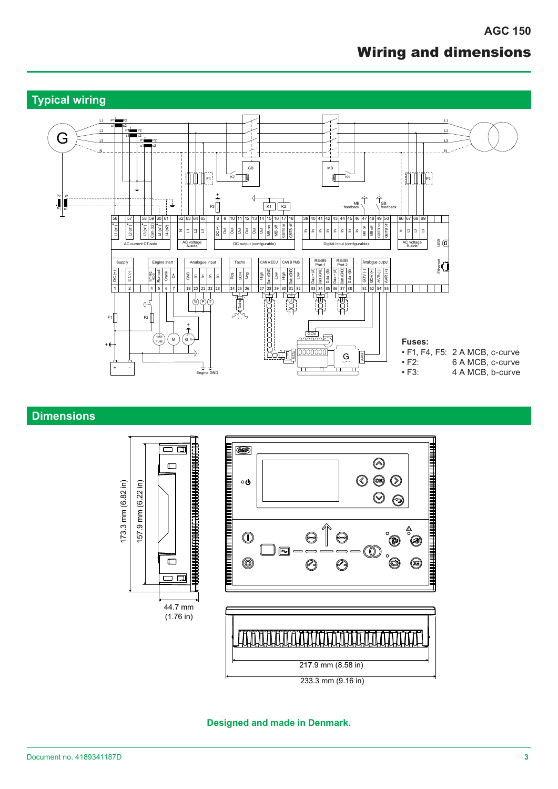# **AGC 150** Wiring and dimensions



### **Dimensions**



**Designed and made in Denmark.**